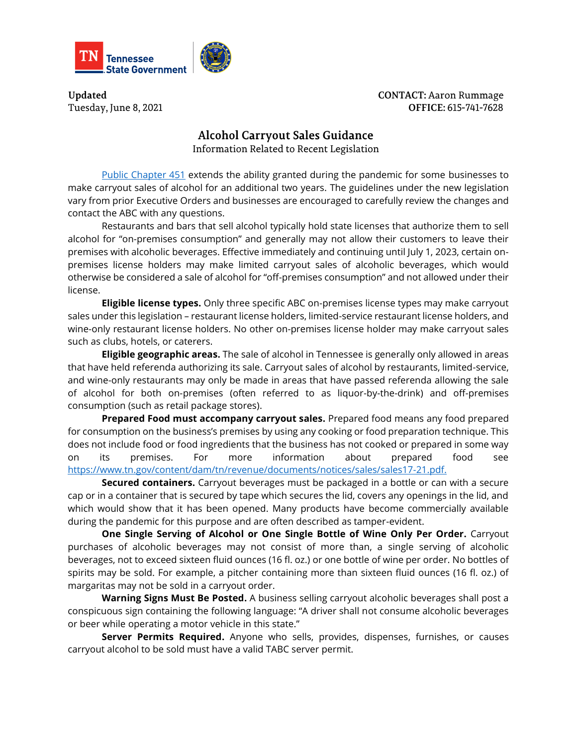

**Updated** Tuesday, June 8, 2021 **CONTACT: Aaron Rummage** OFFICE: 615-741-7628

## **Alcohol Carryout Sales Guidance**

Information Related to Recent Legislation

[Public Chapter 451](https://publications.tnsosfiles.com/acts/112/pub/pc0451.pdf) extends the ability granted during the pandemic for some businesses to make carryout sales of alcohol for an additional two years. The guidelines under the new legislation vary from prior Executive Orders and businesses are encouraged to carefully review the changes and contact the ABC with any questions.

Restaurants and bars that sell alcohol typically hold state licenses that authorize them to sell alcohol for "on-premises consumption" and generally may not allow their customers to leave their premises with alcoholic beverages. Effective immediately and continuing until July 1, 2023, certain onpremises license holders may make limited carryout sales of alcoholic beverages, which would otherwise be considered a sale of alcohol for "off-premises consumption" and not allowed under their license.

**Eligible license types.** Only three specific ABC on-premises license types may make carryout sales under this legislation – restaurant license holders, limited-service restaurant license holders, and wine-only restaurant license holders. No other on-premises license holder may make carryout sales such as clubs, hotels, or caterers.

**Eligible geographic areas.** The sale of alcohol in Tennessee is generally only allowed in areas that have held referenda authorizing its sale. Carryout sales of alcohol by restaurants, limited-service, and wine-only restaurants may only be made in areas that have passed referenda allowing the sale of alcohol for both on-premises (often referred to as liquor-by-the-drink) and off-premises consumption (such as retail package stores).

**Prepared Food must accompany carryout sales.** Prepared food means any food prepared for consumption on the business's premises by using any cooking or food preparation technique. This does not include food or food ingredients that the business has not cooked or prepared in some way on its premises. For more information about prepared food see [https://www.tn.gov/content/dam/tn/revenue/documents/notices/sales/sales17-21.pdf.](https://www.tn.gov/content/dam/tn/revenue/documents/notices/sales/sales17-21.pdf)

**Secured containers.** Carryout beverages must be packaged in a bottle or can with a secure cap or in a container that is secured by tape which secures the lid, covers any openings in the lid, and which would show that it has been opened. Many products have become commercially available during the pandemic for this purpose and are often described as tamper-evident.

**One Single Serving of Alcohol or One Single Bottle of Wine Only Per Order.** Carryout purchases of alcoholic beverages may not consist of more than, a single serving of alcoholic beverages, not to exceed sixteen fluid ounces (16 fl. oz.) or one bottle of wine per order. No bottles of spirits may be sold. For example, a pitcher containing more than sixteen fluid ounces (16 fl. oz.) of margaritas may not be sold in a carryout order.

**Warning Signs Must Be Posted.** A business selling carryout alcoholic beverages shall post a conspicuous sign containing the following language: "A driver shall not consume alcoholic beverages or beer while operating a motor vehicle in this state."

**Server Permits Required.** Anyone who sells, provides, dispenses, furnishes, or causes carryout alcohol to be sold must have a valid TABC server permit.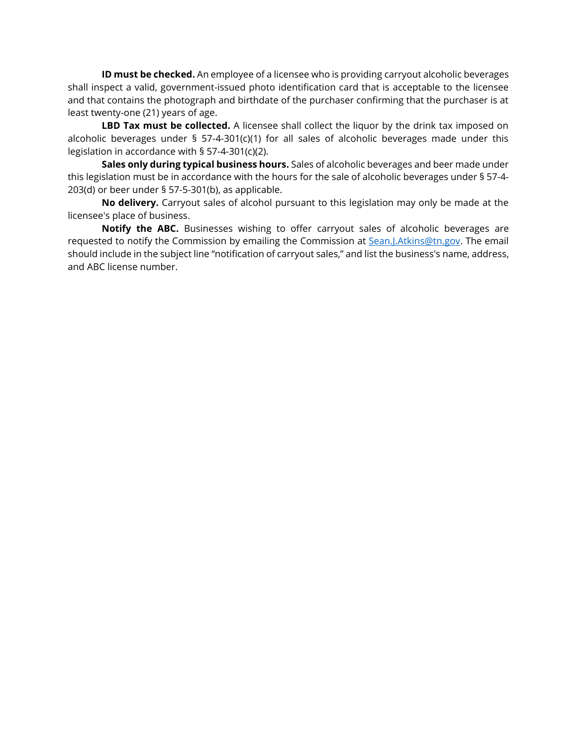**ID must be checked.** An employee of a licensee who is providing carryout alcoholic beverages shall inspect a valid, government-issued photo identification card that is acceptable to the licensee and that contains the photograph and birthdate of the purchaser confirming that the purchaser is at least twenty-one (21) years of age.

**LBD Tax must be collected.** A licensee shall collect the liquor by the drink tax imposed on alcoholic beverages under § 57-4-301(c)(1) for all sales of alcoholic beverages made under this legislation in accordance with § 57-4-301(c)(2).

**Sales only during typical business hours.** Sales of alcoholic beverages and beer made under this legislation must be in accordance with the hours for the sale of alcoholic beverages under § 57-4- 203(d) or beer under § 57-5-301(b), as applicable.

**No delivery.** Carryout sales of alcohol pursuant to this legislation may only be made at the licensee's place of business.

**Notify the ABC.** Businesses wishing to offer carryout sales of alcoholic beverages are requested to notify the Commission by emailing the Commission at [Sean.J.Atkins@tn.gov.](mailto:Sean.J.Atkins@tn.gov?subject=Notification%20of%20Carryout%20Sales) The email should include in the subject line "notification of carryout sales," and list the business's name, address, and ABC license number.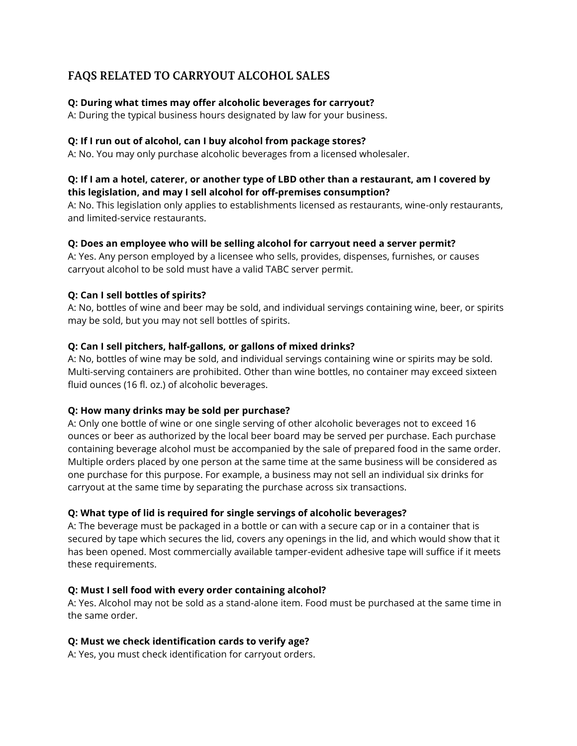# **FAQS RELATED TO CARRYOUT ALCOHOL SALES**

## **Q: During what times may offer alcoholic beverages for carryout?**

A: During the typical business hours designated by law for your business.

#### **Q: If I run out of alcohol, can I buy alcohol from package stores?**

A: No. You may only purchase alcoholic beverages from a licensed wholesaler.

## **Q: If I am a hotel, caterer, or another type of LBD other than a restaurant, am I covered by this legislation, and may I sell alcohol for off-premises consumption?**

A: No. This legislation only applies to establishments licensed as restaurants, wine-only restaurants, and limited-service restaurants.

#### **Q: Does an employee who will be selling alcohol for carryout need a server permit?**

A: Yes. Any person employed by a licensee who sells, provides, dispenses, furnishes, or causes carryout alcohol to be sold must have a valid TABC server permit.

#### **Q: Can I sell bottles of spirits?**

A: No, bottles of wine and beer may be sold, and individual servings containing wine, beer, or spirits may be sold, but you may not sell bottles of spirits.

#### **Q: Can I sell pitchers, half-gallons, or gallons of mixed drinks?**

A: No, bottles of wine may be sold, and individual servings containing wine or spirits may be sold. Multi-serving containers are prohibited. Other than wine bottles, no container may exceed sixteen fluid ounces (16 fl. oz.) of alcoholic beverages.

#### **Q: How many drinks may be sold per purchase?**

A: Only one bottle of wine or one single serving of other alcoholic beverages not to exceed 16 ounces or beer as authorized by the local beer board may be served per purchase. Each purchase containing beverage alcohol must be accompanied by the sale of prepared food in the same order. Multiple orders placed by one person at the same time at the same business will be considered as one purchase for this purpose. For example, a business may not sell an individual six drinks for carryout at the same time by separating the purchase across six transactions.

## **Q: What type of lid is required for single servings of alcoholic beverages?**

A: The beverage must be packaged in a bottle or can with a secure cap or in a container that is secured by tape which secures the lid, covers any openings in the lid, and which would show that it has been opened. Most commercially available tamper-evident adhesive tape will suffice if it meets these requirements.

#### **Q: Must I sell food with every order containing alcohol?**

A: Yes. Alcohol may not be sold as a stand-alone item. Food must be purchased at the same time in the same order.

#### **Q: Must we check identification cards to verify age?**

A: Yes, you must check identification for carryout orders.